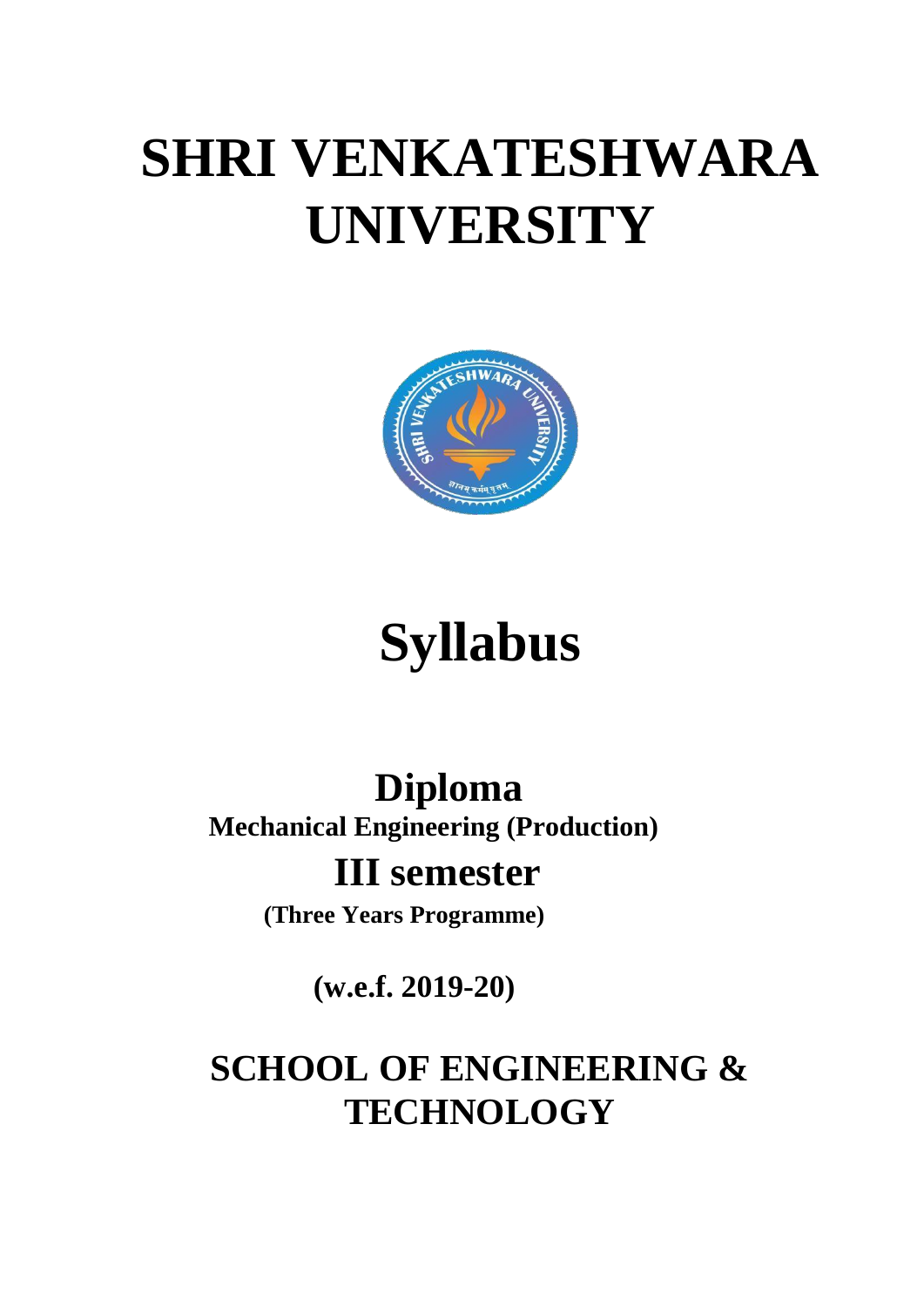# **SHRI VENKATESHWARA UNIVERSITY**



# **Syllabus**

## **Diploma Mechanical Engineering (Production)**

### **III semester**

**(Three Years Programme)**

**(w.e.f. 2019-20)**

## **SCHOOL OF ENGINEERING & TECHNOLOGY**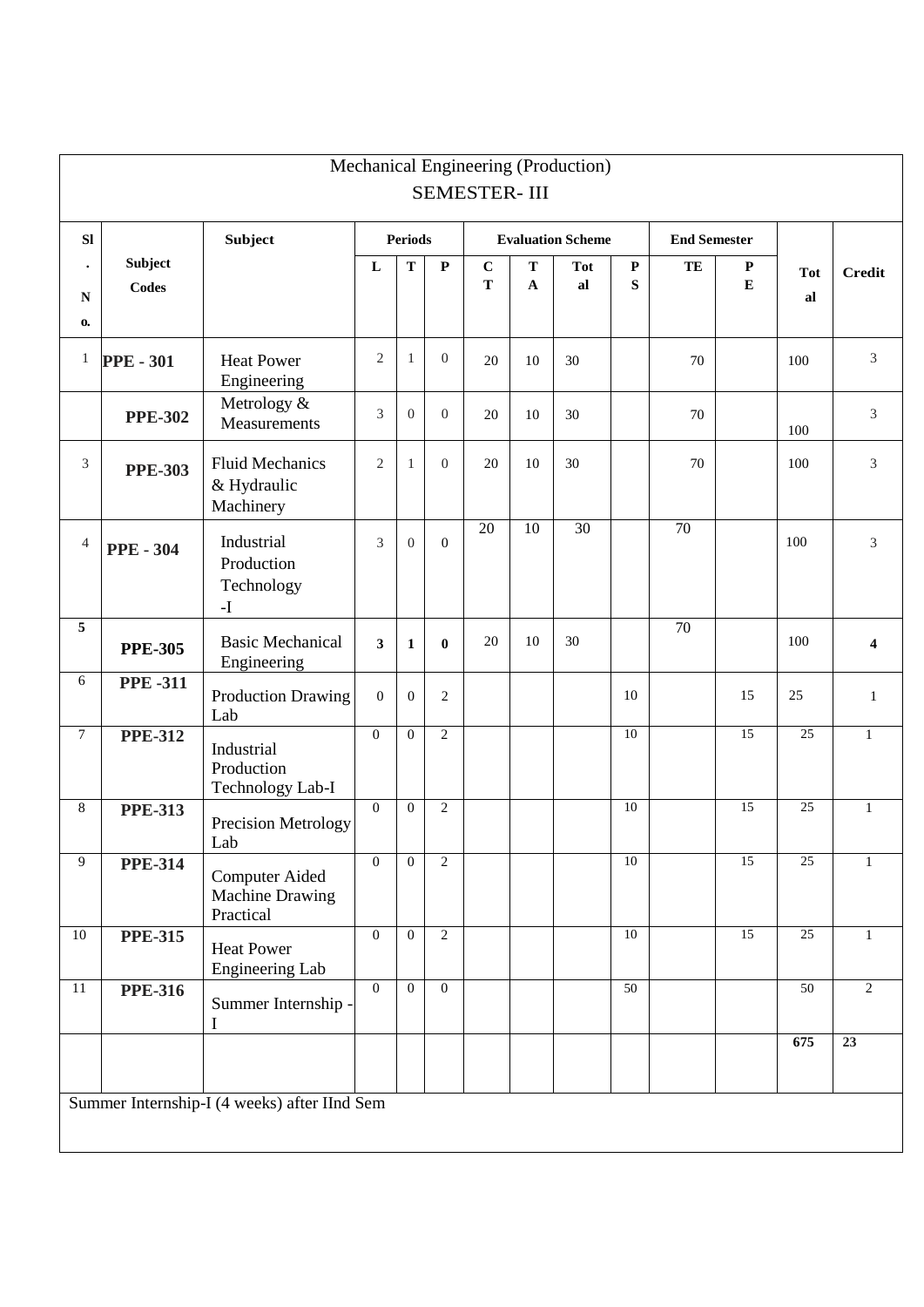|                |                  |                                                        |                |                |                  | <b>SEMESTER-III</b>      |                 | Mechanical Engineering (Production) |           |                     |                 |                 |                 |
|----------------|------------------|--------------------------------------------------------|----------------|----------------|------------------|--------------------------|-----------------|-------------------------------------|-----------|---------------------|-----------------|-----------------|-----------------|
|                |                  |                                                        |                |                |                  |                          |                 |                                     |           |                     |                 |                 |                 |
| SI             |                  | <b>Subject</b>                                         | <b>Periods</b> |                |                  | <b>Evaluation Scheme</b> |                 |                                     |           | <b>End Semester</b> |                 |                 |                 |
| $\bullet$      | Subject          |                                                        | ${\bf L}$      | T              | $\mathbf P$      | $\mathbf C$              | $\mathbf T$     | <b>Tot</b>                          | ${\bf P}$ | TE                  | $\mathbf P$     | <b>Tot</b>      | <b>Credit</b>   |
| ${\bf N}$      | <b>Codes</b>     |                                                        |                |                |                  | ${\bf T}$                | $\mathbf A$     | al                                  | ${\bf S}$ |                     | ${\bf E}$       | al              |                 |
| $\mathbf{0}$   |                  |                                                        |                |                |                  |                          |                 |                                     |           |                     |                 |                 |                 |
| $\mathbf{1}$   | <b>PPE - 301</b> | <b>Heat Power</b><br>Engineering                       | $\sqrt{2}$     | 1              | $\boldsymbol{0}$ | 20                       | 10              | 30                                  |           | 70                  |                 | 100             | 3               |
|                | <b>PPE-302</b>   | Metrology &<br>Measurements                            | 3              | $\overline{0}$ | $\overline{0}$   | 20                       | 10              | 30                                  |           | 70                  |                 | 100             | 3               |
| 3              | <b>PPE-303</b>   | <b>Fluid Mechanics</b><br>& Hydraulic<br>Machinery     | $\mathfrak{2}$ | $\mathbf{1}$   | $\overline{0}$   | 20                       | 10              | 30                                  |           | 70                  |                 | 100             | 3               |
| $\overline{4}$ | <b>PPE - 304</b> | Industrial<br>Production<br>Technology<br>$\mathbf{I}$ | 3              | $\overline{0}$ | $\boldsymbol{0}$ | 20                       | $\overline{10}$ | $\overline{30}$                     |           | $\overline{70}$     |                 | 100             | 3               |
| 5              | <b>PPE-305</b>   | <b>Basic Mechanical</b><br>Engineering                 | 3              | $\mathbf{1}$   | $\bf{0}$         | 20                       | 10              | 30                                  |           | $\overline{70}$     |                 | 100             | 4               |
| 6              | <b>PPE-311</b>   | <b>Production Drawing</b><br>Lab                       | $\mathbf{0}$   | $\overline{0}$ | 2                |                          |                 |                                     | 10        |                     | 15              | $25\,$          | $\mathbf{1}$    |
| $\overline{7}$ | <b>PPE-312</b>   | Industrial<br>Production<br>Technology Lab-I           | $\overline{0}$ | $\theta$       | $\overline{2}$   |                          |                 |                                     | 10        |                     | 15              | 25              | $\mathbf{1}$    |
| 8              | <b>PPE-313</b>   | Precision Metrology<br>Lab                             | $\Omega$       | $\overline{0}$ | $\overline{2}$   |                          |                 |                                     | 10        |                     | 15              | 25              | $\mathbf{1}$    |
| 9              | <b>PPE-314</b>   | <b>Computer Aided</b><br>Machine Drawing<br>Practical  | $\mathbf{0}$   | $\overline{0}$ | $\overline{2}$   |                          |                 |                                     | 10        |                     | 15              | 25              | 1               |
| 10             | <b>PPE-315</b>   | <b>Heat Power</b><br>Engineering Lab                   | $\overline{0}$ | $\mathbf{0}$   | $\overline{2}$   |                          |                 |                                     | 10        |                     | $\overline{15}$ | 25              | 1               |
| 11             | <b>PPE-316</b>   | Summer Internship -<br>I                               | $\overline{0}$ | $\mathbf{0}$   | $\overline{0}$   |                          |                 |                                     | 50        |                     |                 | $\overline{50}$ | $\overline{2}$  |
|                |                  |                                                        |                |                |                  |                          |                 |                                     |           |                     |                 | 675             | $\overline{23}$ |
|                |                  | Summer Internship-I (4 weeks) after IInd Sem           |                |                |                  |                          |                 |                                     |           |                     |                 |                 |                 |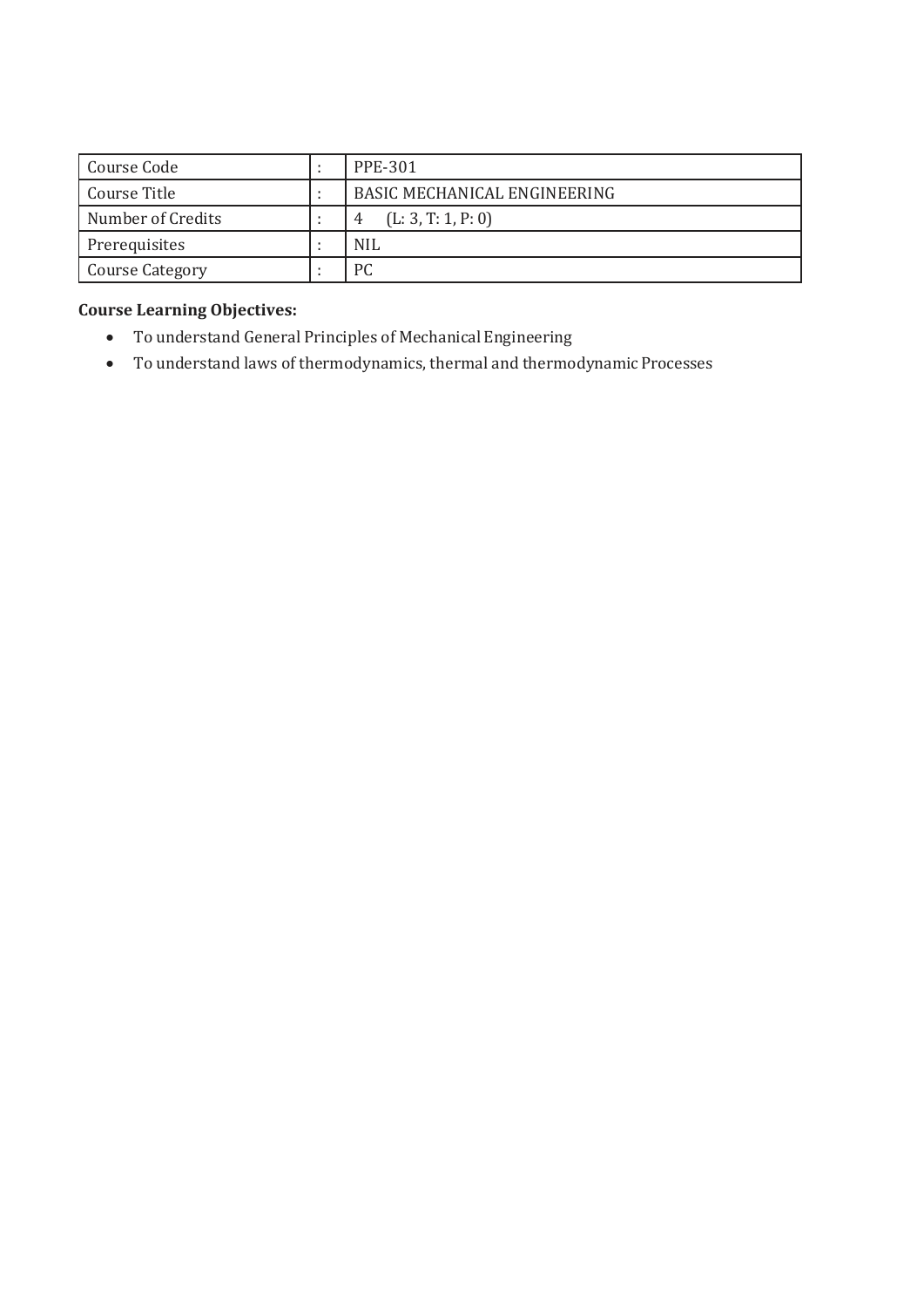| Course Code            |  | PPE-301                             |
|------------------------|--|-------------------------------------|
| Course Title           |  | <b>BASIC MECHANICAL ENGINEERING</b> |
| Number of Credits      |  | (L: 3, T: 1, P: 0)<br>4             |
| Prerequisites          |  | <b>NIL</b>                          |
| <b>Course Category</b> |  | РC                                  |

- To understand General Principles of Mechanical Engineering
- To understand laws of thermodynamics, thermal and thermodynamicProcesses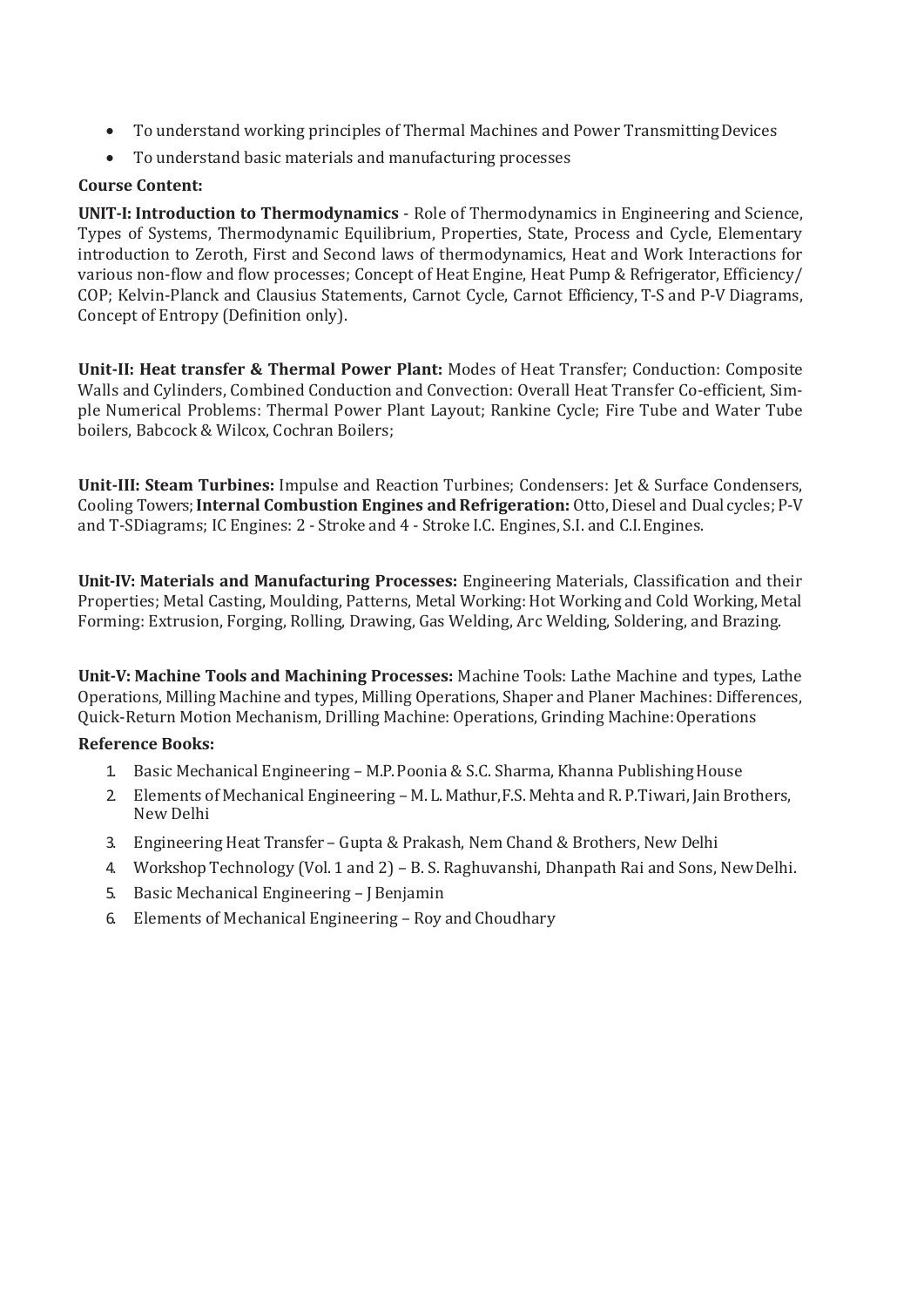- To understand working principles of Thermal Machines and Power TransmittingDevices
- To understand basic materials and manufacturing processes

#### **Course Content:**

**UNIT-I: Introduction to Thermodynamics** - Role of Thermodynamics in Engineering and Science, Types of Systems, Thermodynamic Equilibrium, Properties, State, Process and Cycle, Elementary introduction to Zeroth, First and Second laws of thermodynamics, Heat and Work Interactions for various non-flow and flow processes; Concept of Heat Engine, Heat Pump & Refrigerator, Efficiency/ COP; Kelvin-Planck and Clausius Statements, Carnot Cycle, Carnot Efficiency, T-S and P-V Diagrams, Concept of Entropy (Definition only).

**Unit-II: Heat transfer & Thermal Power Plant:** Modes of Heat Transfer; Conduction: Composite Walls and Cylinders, Combined Conduction and Convection: Overall Heat Transfer Co-efficient, Simple Numerical Problems: Thermal Power Plant Layout; Rankine Cycle; Fire Tube and Water Tube boilers, Babcock & Wilcox, Cochran Boilers;

**Unit-III: Steam Turbines:** Impulse and Reaction Turbines; Condensers: Jet & Surface Condensers, Cooling Towers;**Internal Combustion Engines andRefrigeration:** Otto, Diesel and Dual cycles; P-V and T-SDiagrams; IC Engines: 2 - Stroke and 4 - Stroke I.C. Engines, S.I. and C.I.Engines.

**Unit-IV: Materials and Manufacturing Processes:** Engineering Materials, Classification and their Properties; Metal Casting, Moulding, Patterns, Metal Working: Hot Working and Cold Working, Metal Forming: Extrusion, Forging, Rolling, Drawing, Gas Welding, Arc Welding, Soldering, and Brazing.

**Unit-V: Machine Tools and Machining Processes:** Machine Tools: Lathe Machine and types, Lathe Operations, Milling Machine and types, Milling Operations, Shaper and Planer Machines: Differences, Quick-Return Motion Mechanism, Drilling Machine: Operations, Grinding Machine:Operations

#### **Reference Books:**

- 1. Basic Mechanical Engineering M.P.Poonia & S.C. Sharma, Khanna PublishingHouse
- 2. Elements of Mechanical Engineering M. L. Mathur, F.S. Mehta and R. P. Tiwari, Jain Brothers, New Delhi
- 3. Engineering Heat Transfer Gupta & Prakash, Nem Chand & Brothers, New Delhi
- 4. Workshop Technology (Vol. 1 and 2) B. S. Raghuvanshi, Dhanpath Rai and Sons, NewDelhi.
- 5. Basic Mechanical Engineering J Benjamin
- 6. Elements of Mechanical Engineering Roy and Choudhary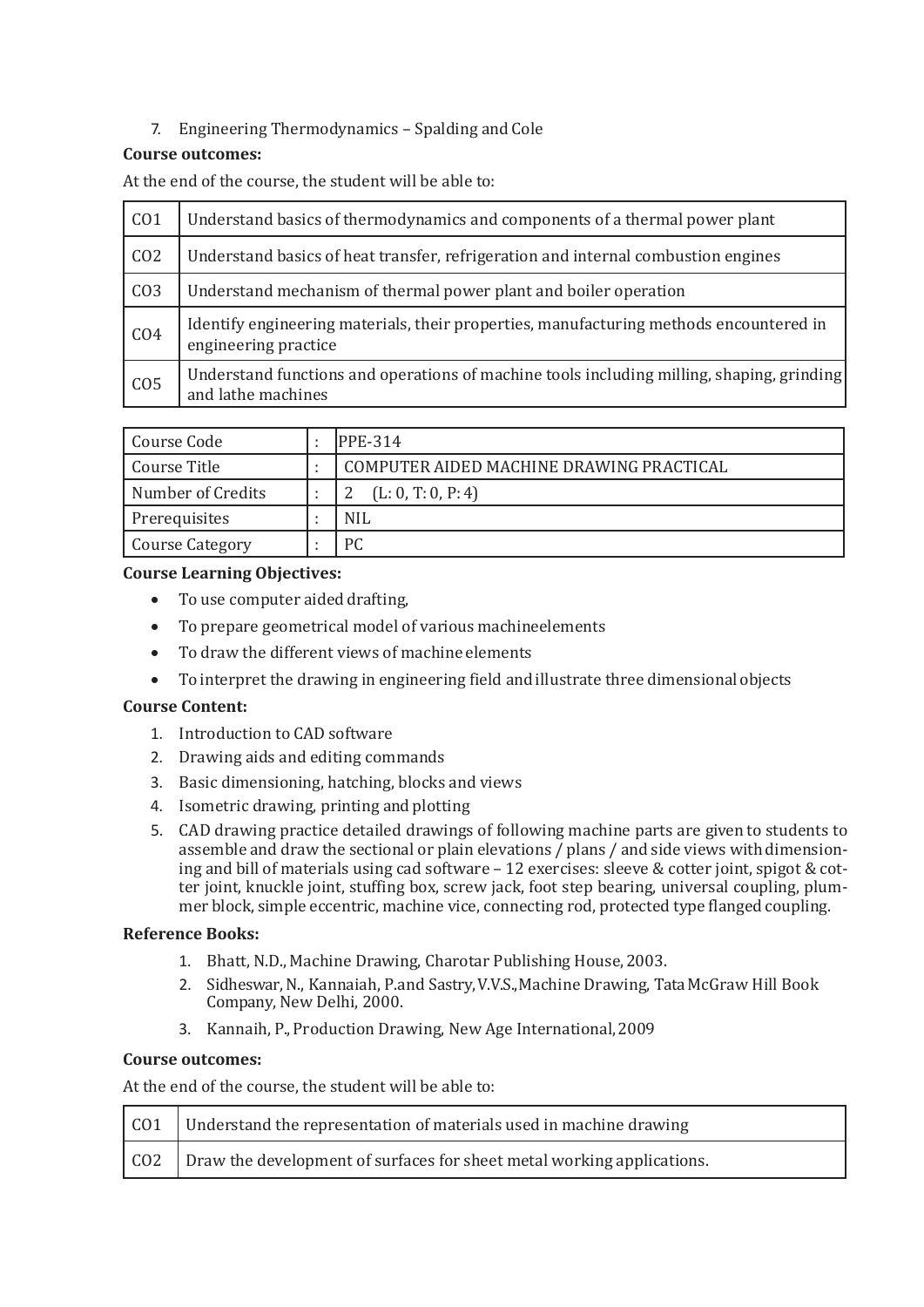#### 7. Engineering Thermodynamics – Spalding and Cole

#### **Course outcomes:**

At the end of the course, the student will be able to:

| CO <sub>1</sub> | Understand basics of thermodynamics and components of a thermal power plant                                     |
|-----------------|-----------------------------------------------------------------------------------------------------------------|
| CO <sub>2</sub> | Understand basics of heat transfer, refrigeration and internal combustion engines                               |
| CO <sub>3</sub> | Understand mechanism of thermal power plant and boiler operation                                                |
| CO <sub>4</sub> | Identify engineering materials, their properties, manufacturing methods encountered in<br>engineering practice  |
| CO <sub>5</sub> | Understand functions and operations of machine tools including milling, shaping, grinding<br>and lathe machines |

| Course Code       |  | PPE-314                                  |
|-------------------|--|------------------------------------------|
| Course Title      |  | COMPUTER AIDED MACHINE DRAWING PRACTICAL |
| Number of Credits |  | (L: 0, T: 0, P: 4)                       |
| Prerequisites     |  | <b>NIL</b>                               |
| Course Category   |  | PС                                       |

#### **Course Learning Objectives:**

- To use computer aided drafting,
- To prepare geometrical model of various machineelements
- To draw the different views of machine elements
- To interpret the drawing in engineering field and illustrate three dimensionalobjects

#### **Course Content:**

- 1. Introduction to CAD software
- 2. Drawing aids and editing commands
- 3. Basic dimensioning, hatching, blocks and views
- 4. Isometric drawing, printing and plotting
- 5. CAD drawing practice detailed drawings of following machine parts are given to students to assemble and draw the sectional or plain elevations / plans / and side views with dimensioning and bill of materials using cad software – 12 exercises: sleeve & cotter joint, spigot & cotter joint, knuckle joint, stuffing box, screw jack, foot step bearing, universal coupling, plummer block, simple eccentric, machine vice, connecting rod, protected type flanged coupling.

#### **Reference Books:**

- 1. Bhatt, N.D., Machine Drawing, Charotar Publishing House,2003.
- 2. Sidheswar,N., Kannaiah, P.and Sastry,V.V.S.,Machine Drawing, TataMcGraw Hill Book Company, New Delhi, 2000.
- 3. Kannaih, P., Production Drawing, New Age International,2009

#### **Course outcomes:**

| CO1   Understand the representation of materials used in machine drawing   |
|----------------------------------------------------------------------------|
| CO2 Draw the development of surfaces for sheet metal working applications. |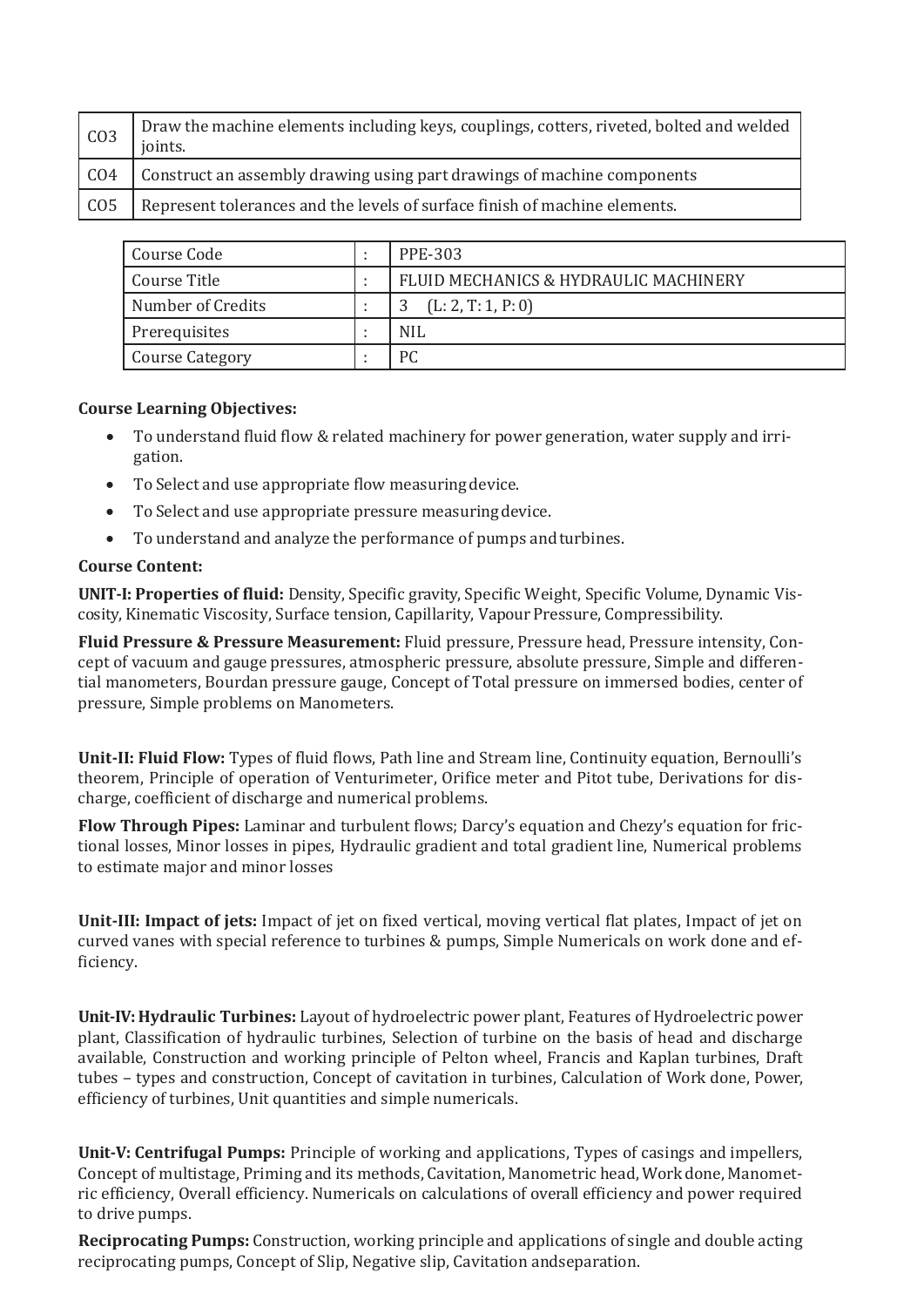| CO <sub>3</sub>  | Draw the machine elements including keys, couplings, cotters, riveted, bolted and welded<br>joints. |
|------------------|-----------------------------------------------------------------------------------------------------|
| C <sub>O</sub> 4 | Construct an assembly drawing using part drawings of machine components                             |
| CO <sub>5</sub>  | Represent tolerances and the levels of surface finish of machine elements.                          |

| Course Code       |  | PPE-303                               |
|-------------------|--|---------------------------------------|
| Course Title      |  | FLUID MECHANICS & HYDRAULIC MACHINERY |
| Number of Credits |  | (L: 2, T: 1, P: 0)                    |
| Prerequisites     |  | <b>NIL</b>                            |
| Course Category   |  | PC                                    |

- To understand fluid flow & related machinery for power generation, water supply and irrigation.
- To Select and use appropriate flow measuring device.
- To Select and use appropriate pressure measuringdevice.
- To understand and analyze the performance of pumps andturbines.

#### **Course Content:**

**UNIT-I: Properties of fluid:** Density, Specific gravity, Specific Weight, Specific Volume, Dynamic Viscosity, Kinematic Viscosity, Surface tension, Capillarity, Vapour Pressure, Compressibility.

**Fluid Pressure & Pressure Measurement:** Fluid pressure, Pressure head, Pressure intensity, Concept of vacuum and gauge pressures, atmospheric pressure, absolute pressure, Simple and differential manometers, Bourdan pressure gauge, Concept of Total pressure on immersed bodies, center of pressure, Simple problems on Manometers.

**Unit-II: Fluid Flow:** Types of fluid flows, Path line and Stream line, Continuity equation, Bernoulli's theorem, Principle of operation of Venturimeter, Orifice meter and Pitot tube, Derivations for discharge, coefficient of discharge and numerical problems.

**Flow Through Pipes:** Laminar and turbulent flows; Darcy's equation and Chezy's equation for frictional losses, Minor losses in pipes, Hydraulic gradient and total gradient line, Numerical problems to estimate major and minor losses

**Unit-III: Impact of jets:** Impact of jet on fixed vertical, moving vertical flat plates, Impact of jet on curved vanes with special reference to turbines & pumps, Simple Numericals on work done and efficiency.

**Unit-IV: Hydraulic Turbines:** Layout of hydroelectric power plant, Features of Hydroelectric power plant, Classification of hydraulic turbines, Selection of turbine on the basis of head and discharge available, Construction and working principle of Pelton wheel, Francis and Kaplan turbines, Draft tubes – types and construction, Concept of cavitation in turbines, Calculation of Work done, Power, efficiency of turbines, Unit quantities and simple numericals.

**Unit-V: Centrifugal Pumps:** Principle of working and applications, Types of casings and impellers, Concept of multistage, Priming and its methods, Cavitation, Manometric head, Workdone, Manometric efficiency, Overall efficiency. Numericals on calculations of overall efficiency and power required to drive pumps.

**Reciprocating Pumps:** Construction, working principle and applications of single and double acting reciprocating pumps, Concept of Slip, Negative slip, Cavitation andseparation.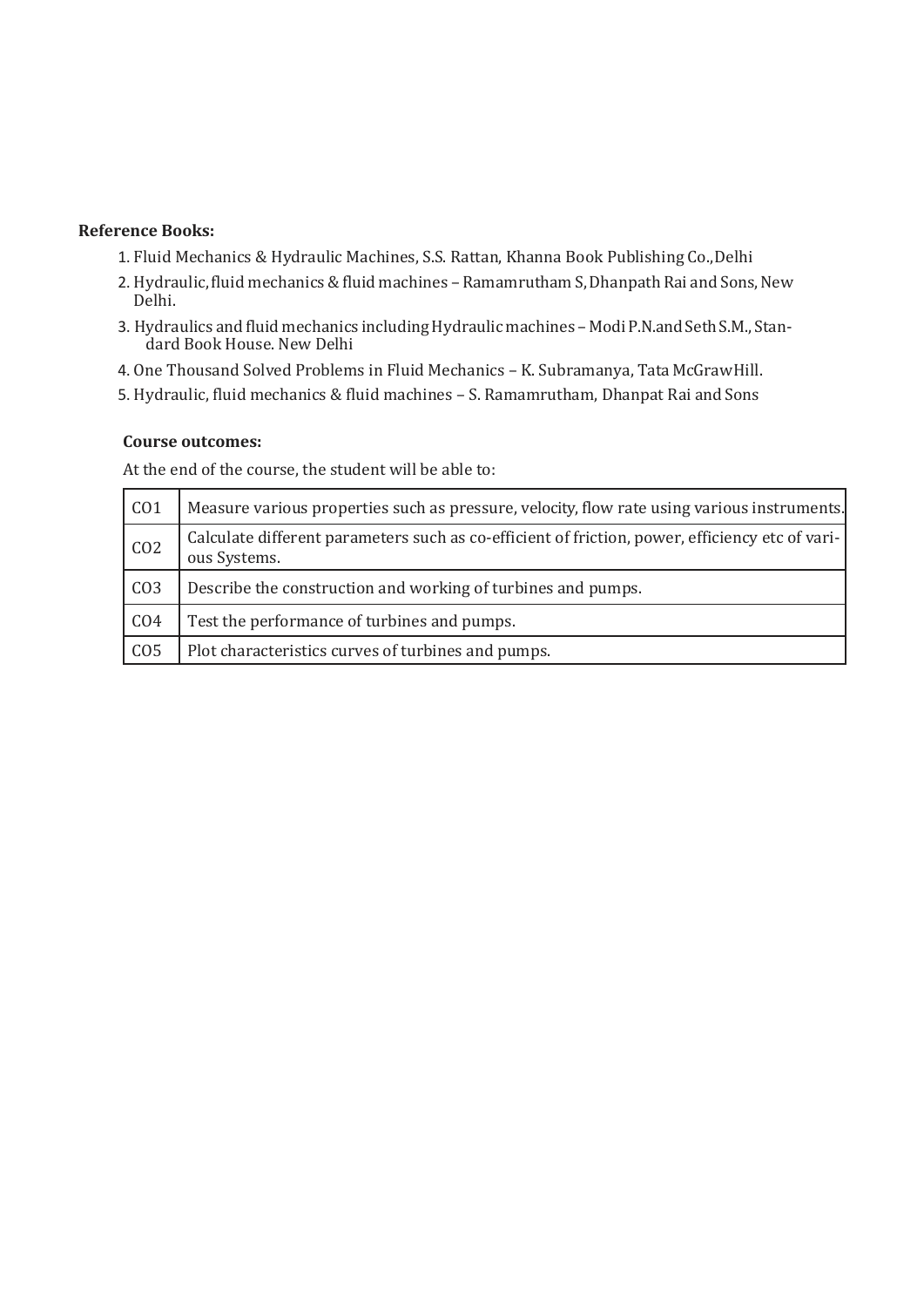#### **Reference Books:**

- 1. Fluid Mechanics & Hydraulic Machines, S.S. Rattan, Khanna Book Publishing Co.,Delhi
- 2. Hydraulic, fluid mechanics & fluid machines Ramamrutham S, Dhanpath Rai and Sons, New Delhi.
- 3. Hydraulics and fluid mechanics includingHydraulicmachines Modi P.N.and SethS.M., Standard Book House. New Delhi
- 4. One Thousand Solved Problems in Fluid Mechanics K. Subramanya, Tata McGrawHill.
- 5. Hydraulic, fluid mechanics & fluid machines S. Ramamrutham, Dhanpat Rai and Sons

#### **Course outcomes:**

| CO <sub>1</sub> | Measure various properties such as pressure, velocity, flow rate using various instruments.                     |
|-----------------|-----------------------------------------------------------------------------------------------------------------|
| CO <sub>2</sub> | Calculate different parameters such as co-efficient of friction, power, efficiency etc of vari-<br>ous Systems. |
| CO <sub>3</sub> | Describe the construction and working of turbines and pumps.                                                    |
| CO <sub>4</sub> | Test the performance of turbines and pumps.                                                                     |
| CO <sub>5</sub> | Plot characteristics curves of turbines and pumps.                                                              |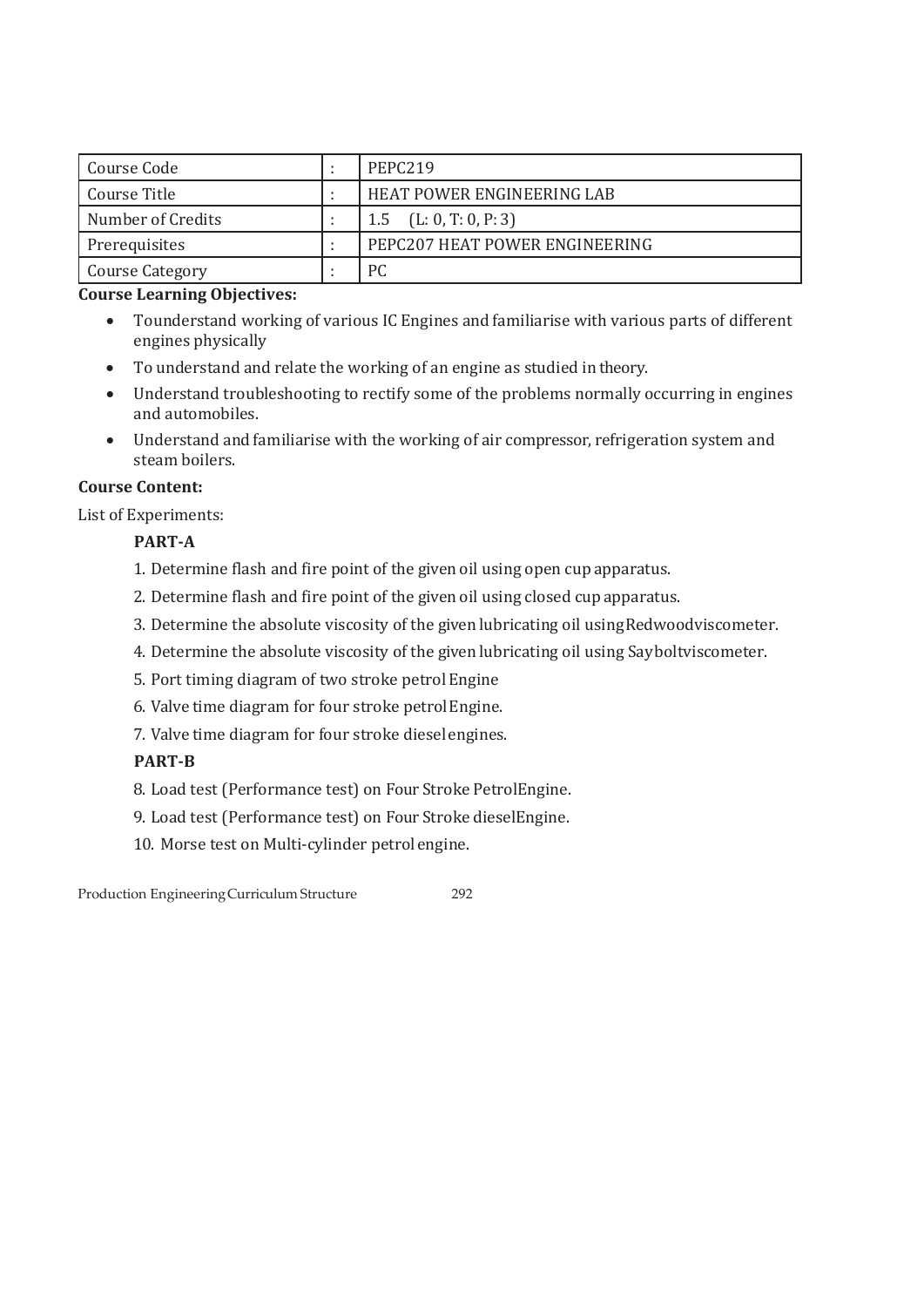| Course Code          |  | PEPC <sub>219</sub>            |
|----------------------|--|--------------------------------|
| Course Title         |  | HEAT POWER ENGINEERING LAB     |
| Number of Credits    |  | (L: 0, T: 0, P: 3)<br>1.5      |
| <b>Prerequisites</b> |  | PEPC207 HEAT POWER ENGINEERING |
| Course Category      |  | РC                             |

- Tounderstand working of various IC Engines and familiarise with various parts of different engines physically
- To understand and relate the working of an engine as studied intheory.
- Understand troubleshooting to rectify some of the problems normally occurring in engines and automobiles.
- Understand and familiarise with the working of air compressor, refrigeration system and steam boilers.

#### **Course Content:**

List of Experiments:

#### **PART-A**

- 1. Determine flash and fire point of the given oil using open cup apparatus.
- 2. Determine flash and fire point of the given oil using closed cupapparatus.
- 3. Determine the absolute viscosity of the given lubricating oil usingRedwoodviscometer.
- 4. Determine the absolute viscosity of the given lubricating oil using Sayboltviscometer.
- 5. Port timing diagram of two stroke petrol Engine
- 6. Valve time diagram for four stroke petrolEngine.
- 7. Valve time diagram for four stroke dieselengines.

#### **PART-B**

8. Load test (Performance test) on Four Stroke PetrolEngine.

9. Load test (Performance test) on Four Stroke dieselEngine.

10. Morse test on Multi-cylinder petrolengine.

Production EngineeringCurriculum Structure 292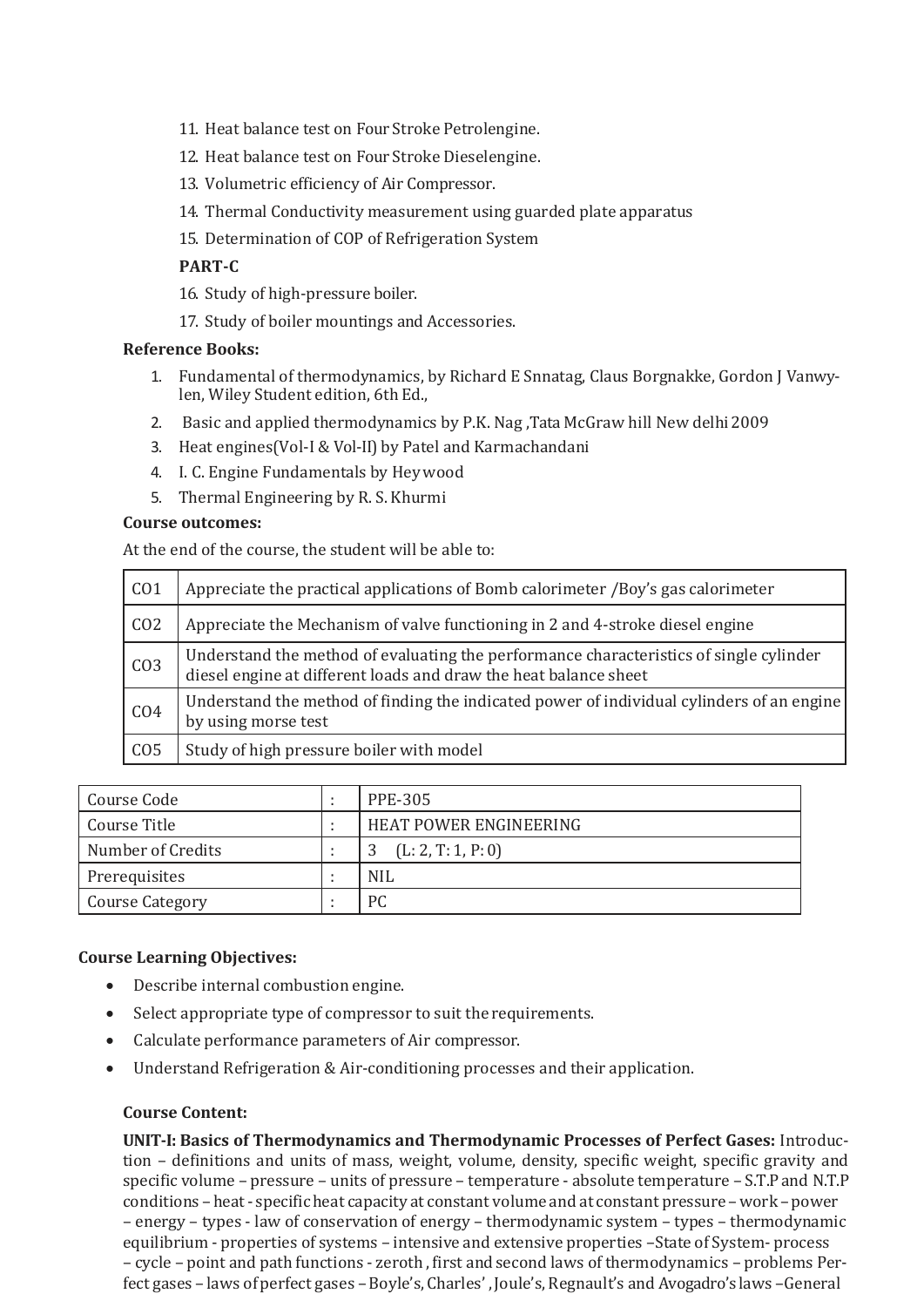- 11. Heat balance test on Four Stroke Petrolengine.
- 12. Heat balance test on Four Stroke Dieselengine.
- 13. Volumetric efficiency of Air Compressor.
- 14. Thermal Conductivity measurement using guarded plate apparatus
- 15. Determination of COP of Refrigeration System

#### **PART-C**

- 16. Study of high-pressure boiler.
- 17. Study of boiler mountings and Accessories.

#### **Reference Books:**

- 1. Fundamental of thermodynamics, by Richard E Snnatag, Claus Borgnakke, Gordon J Vanwylen, Wiley Student edition, 6th Ed.,
- 2. Basic and applied thermodynamics by P.K. Nag ,Tata McGraw hill New delhi2009
- 3. Heat engines(Vol-I & Vol-II) by Patel and Karmachandani
- 4. I. C. Engine Fundamentals by Hey wood
- 5. Thermal Engineering by R. S. Khurmi

#### **Course outcomes:**

At the end of the course, the student will be able to:

| CO <sub>1</sub> | Appreciate the practical applications of Bomb calorimeter /Boy's gas calorimeter                                                                           |
|-----------------|------------------------------------------------------------------------------------------------------------------------------------------------------------|
| CO <sub>2</sub> | Appreciate the Mechanism of valve functioning in 2 and 4-stroke diesel engine                                                                              |
| CO <sub>3</sub> | Understand the method of evaluating the performance characteristics of single cylinder<br>diesel engine at different loads and draw the heat balance sheet |
| CO <sub>4</sub> | Understand the method of finding the indicated power of individual cylinders of an engine<br>by using morse test                                           |
| CO <sub>5</sub> | Study of high pressure boiler with model                                                                                                                   |

| Course Code            |  | <b>PPE-305</b>         |
|------------------------|--|------------------------|
| Course Title           |  | HEAT POWER ENGINEERING |
| Number of Credits      |  | (L: 2, T: 1, P: 0)     |
| Prerequisites          |  | <b>NIL</b>             |
| <b>Course Category</b> |  | PC                     |

#### **Course Learning Objectives:**

- Describe internal combustion engine.
- Select appropriate type of compressor to suit the requirements.
- Calculate performance parameters of Air compressor.
- Understand Refrigeration & Air-conditioning processes and their application.

#### **Course Content:**

**UNIT-I: Basics of Thermodynamics and Thermodynamic Processes of Perfect Gases:** Introduction – definitions and units of mass, weight, volume, density, specific weight, specific gravity and specific volume – pressure – units of pressure – temperature - absolute temperature – S.T.Pand N.T.P conditions – heat - specificheat capacity at constant volume and at constant pressure –work – power – energy – types - law of conservation of energy – thermodynamic system – types – thermodynamic equilibrium - properties of systems – intensive and extensive properties –State of System- process – cycle – point and path functions - zeroth , first and second laws of thermodynamics – problems Perfect gases – laws of perfect gases – Boyle's, Charles', Joule's, Regnault's and Avogadro's laws – General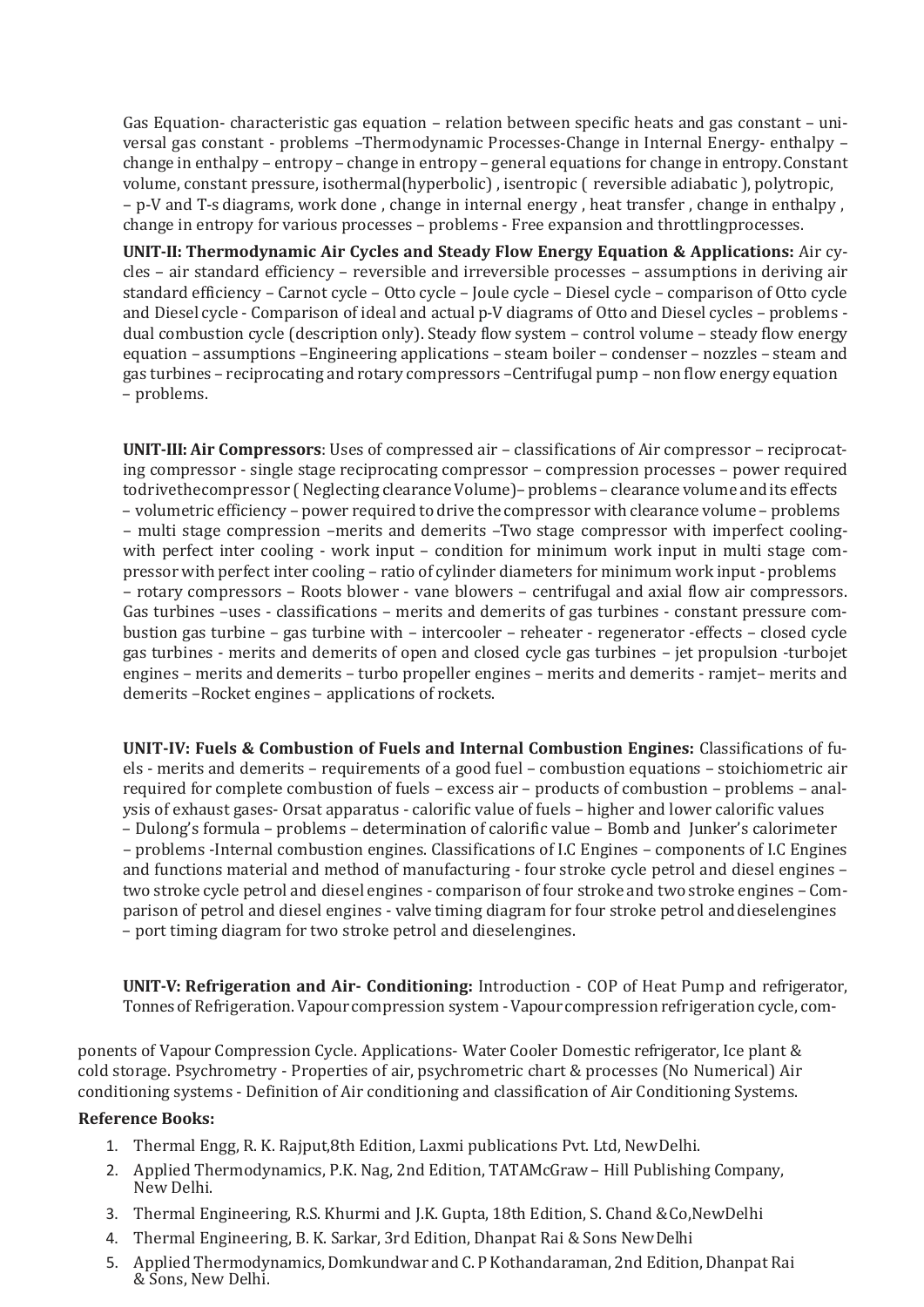Gas Equation- characteristic gas equation – relation between specific heats and gas constant – universal gas constant - problems –Thermodynamic Processes-Change in Internal Energy- enthalpy – change in enthalpy – entropy – change in entropy – general equations for change in entropy.Constant volume, constant pressure, isothermal(hyperbolic) , isentropic ( reversible adiabatic ), polytropic, – p-V and T-s diagrams, work done , change in internal energy , heat transfer , change in enthalpy , change in entropy for various processes – problems - Free expansion and throttlingprocesses.

**UNIT-II: Thermodynamic Air Cycles and Steady Flow Energy Equation & Applications:** Air cycles – air standard efficiency – reversible and irreversible processes – assumptions in deriving air standard efficiency – Carnot cycle – Otto cycle – Joule cycle – Diesel cycle – comparison of Otto cycle and Diesel cycle - Comparison of ideal and actual p-V diagrams of Otto and Diesel cycles – problems dual combustion cycle (description only). Steady flow system – control volume – steady flow energy equation – assumptions –Engineering applications – steam boiler – condenser – nozzles – steam and gas turbines – reciprocating and rotary compressors –Centrifugal pump – non flow energy equation – problems.

**UNIT-III: Air Compressors**: Uses of compressed air – classifications of Air compressor – reciprocating compressor - single stage reciprocating compressor – compression processes – power required todrivethecompressor (Neglecting clearance Volume) – problems – clearance volume and its effects – volumetric efficiency – power required todrive the compressor with clearance volume – problems – multi stage compression –merits and demerits –Two stage compressor with imperfect coolingwith perfect inter cooling - work input – condition for minimum work input in multi stage compressor with perfect inter cooling – ratio of cylinder diameters for minimum work input -problems – rotary compressors – Roots blower - vane blowers – centrifugal and axial flow air compressors. Gas turbines –uses - classifications – merits and demerits of gas turbines - constant pressure combustion gas turbine – gas turbine with – intercooler – reheater - regenerator -effects – closed cycle gas turbines - merits and demerits of open and closed cycle gas turbines – jet propulsion -turbojet engines – merits and demerits – turbo propeller engines – merits and demerits - ramjet– merits and demerits –Rocket engines – applications of rockets.

**UNIT-IV: Fuels & Combustion of Fuels and Internal Combustion Engines:** Classifications of fuels - merits and demerits – requirements of a good fuel – combustion equations – stoichiometric air required for complete combustion of fuels – excess air – products of combustion – problems – analysis of exhaust gases- Orsat apparatus - calorific value of fuels – higher and lower calorific values – Dulong's formula – problems – determination of calorific value – Bomb and Junker's calorimeter – problems -Internal combustion engines. Classifications of I.C Engines – components of I.C Engines and functions material and method of manufacturing - four stroke cycle petrol and diesel engines – two stroke cycle petrol and diesel engines - comparison of four stroke and two stroke engines – Comparison of petrol and diesel engines - valve timing diagram for four stroke petrol anddieselengines – port timing diagram for two stroke petrol and dieselengines.

**UNIT-V: Refrigeration and Air- Conditioning:** Introduction - COP of Heat Pump and refrigerator, Tonnes of Refrigeration. Vapour compression system - Vapour compression refrigeration cycle, com-

ponents of Vapour Compression Cycle. Applications- Water Cooler Domestic refrigerator, Ice plant & cold storage. Psychrometry - Properties of air, psychrometric chart & processes (No Numerical) Air conditioning systems - Definition of Air conditioning and classification of Air Conditioning Systems.

#### **Reference Books:**

- 1. Thermal Engg, R. K. Rajput,8th Edition, Laxmi publications Pvt. Ltd, NewDelhi.
- 2. Applied Thermodynamics, P.K. Nag, 2nd Edition, TATAMcGraw Hill Publishing Company, New Delhi.
- 3. Thermal Engineering, R.S. Khurmi and J.K. Gupta, 18th Edition, S. Chand &Co,NewDelhi
- 4. Thermal Engineering, B. K. Sarkar, 3rd Edition, Dhanpat Rai & Sons NewDelhi
- 5. Applied Thermodynamics, Domkundwar and C. P Kothandaraman, 2nd Edition, Dhanpat Rai & Sons, New Delhi.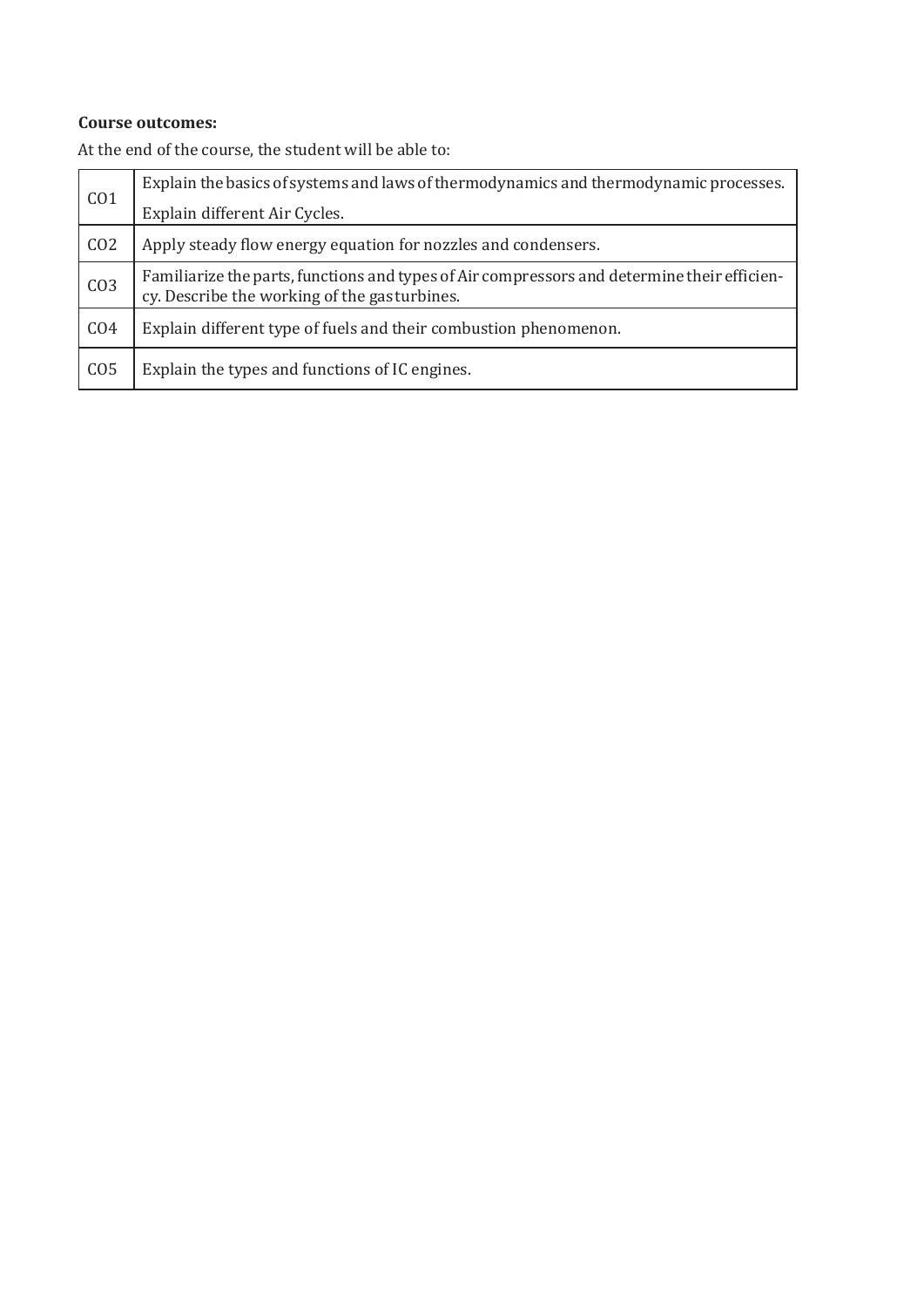#### **Course outcomes:**

| CO <sub>1</sub> | Explain the basics of systems and laws of thermodynamics and thermodynamic processes.                                                        |
|-----------------|----------------------------------------------------------------------------------------------------------------------------------------------|
|                 | Explain different Air Cycles.                                                                                                                |
| CO <sub>2</sub> | Apply steady flow energy equation for nozzles and condensers.                                                                                |
| CO <sub>3</sub> | Familiarize the parts, functions and types of Air compressors and determine their efficien-<br>cy. Describe the working of the gas turbines. |
| CO <sub>4</sub> | Explain different type of fuels and their combustion phenomenon.                                                                             |
| CO <sub>5</sub> | Explain the types and functions of IC engines.                                                                                               |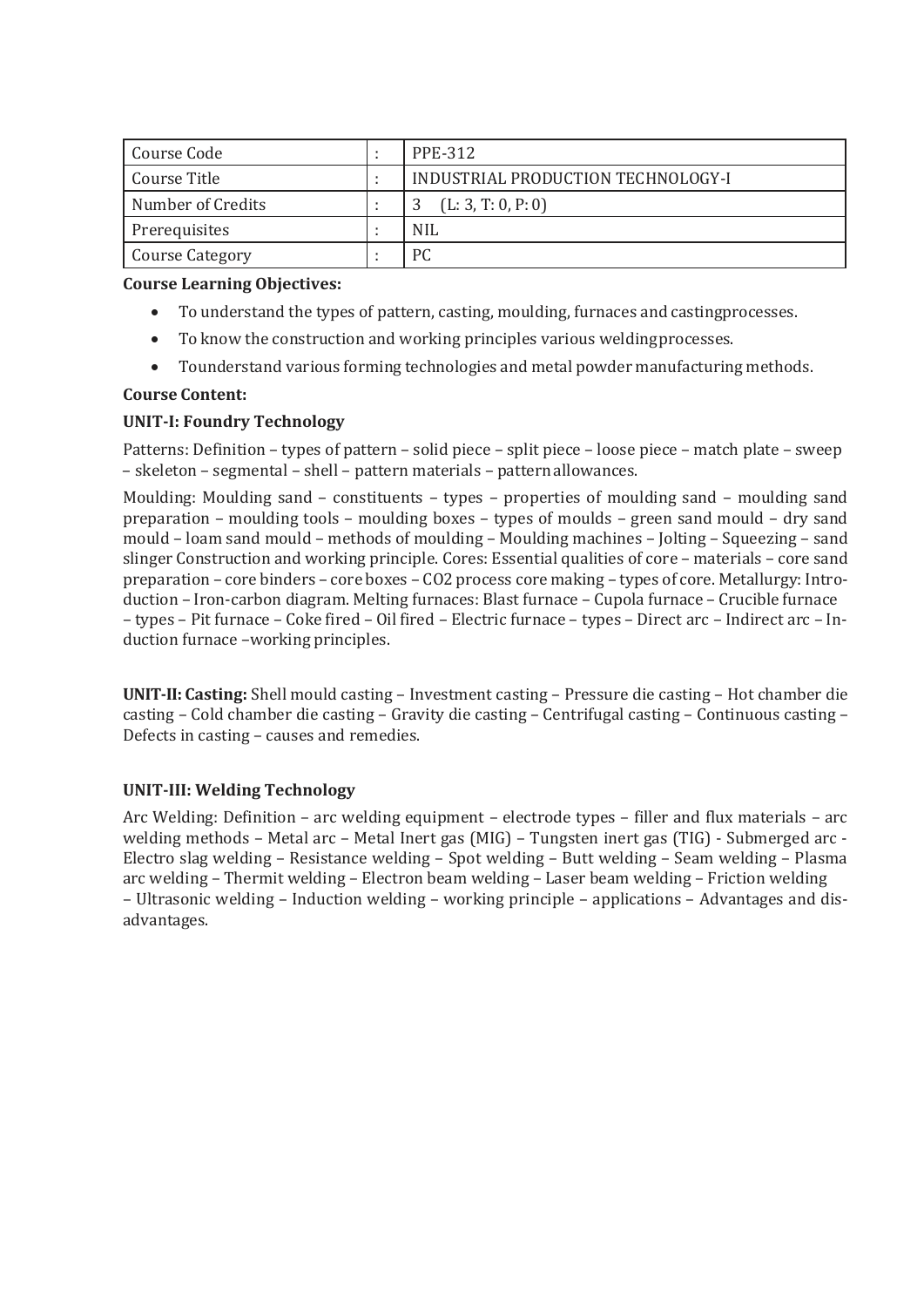| Course Code            | <b>PPE-312</b>                     |
|------------------------|------------------------------------|
| Course Title           | INDUSTRIAL PRODUCTION TECHNOLOGY-I |
| Number of Credits      | (L: 3, T: 0, P: 0)                 |
| Prerequisites          | <b>NIL</b>                         |
| <b>Course Category</b> | PC                                 |

- To understand the types of pattern, casting, moulding, furnaces and castingprocesses.
- To know the construction and working principles various weldingprocesses.
- Tounderstand various forming technologies and metal powder manufacturing methods.

#### **Course Content:**

#### **UNIT-I: Foundry Technology**

Patterns: Definition – types of pattern – solid piece – split piece – loose piece – match plate – sweep – skeleton – segmental – shell – pattern materials – patternallowances.

Moulding: Moulding sand – constituents – types – properties of moulding sand – moulding sand preparation – moulding tools – moulding boxes – types of moulds – green sand mould – dry sand mould – loam sand mould – methods of moulding – Moulding machines – Jolting – Squeezing – sand slinger Construction and working principle. Cores: Essential qualities of core – materials – core sand preparation – core binders – core boxes – CO2 process core making – types of core. Metallurgy: Introduction – Iron-carbon diagram. Melting furnaces: Blast furnace – Cupola furnace – Crucible furnace – types – Pit furnace – Coke fired – Oil fired – Electric furnace – types – Direct arc – Indirect arc – Induction furnace –working principles.

**UNIT-II: Casting:** Shell mould casting – Investment casting – Pressure die casting – Hot chamber die casting – Cold chamber die casting – Gravity die casting – Centrifugal casting – Continuous casting – Defects in casting – causes and remedies.

#### **UNIT-III: Welding Technology**

Arc Welding: Definition – arc welding equipment – electrode types – filler and flux materials – arc welding methods – Metal arc – Metal Inert gas (MIG) – Tungsten inert gas (TIG) - Submerged arc - Electro slag welding – Resistance welding – Spot welding – Butt welding – Seam welding – Plasma arc welding – Thermit welding – Electron beam welding – Laser beam welding – Friction welding – Ultrasonic welding – Induction welding – working principle – applications – Advantages and disadvantages.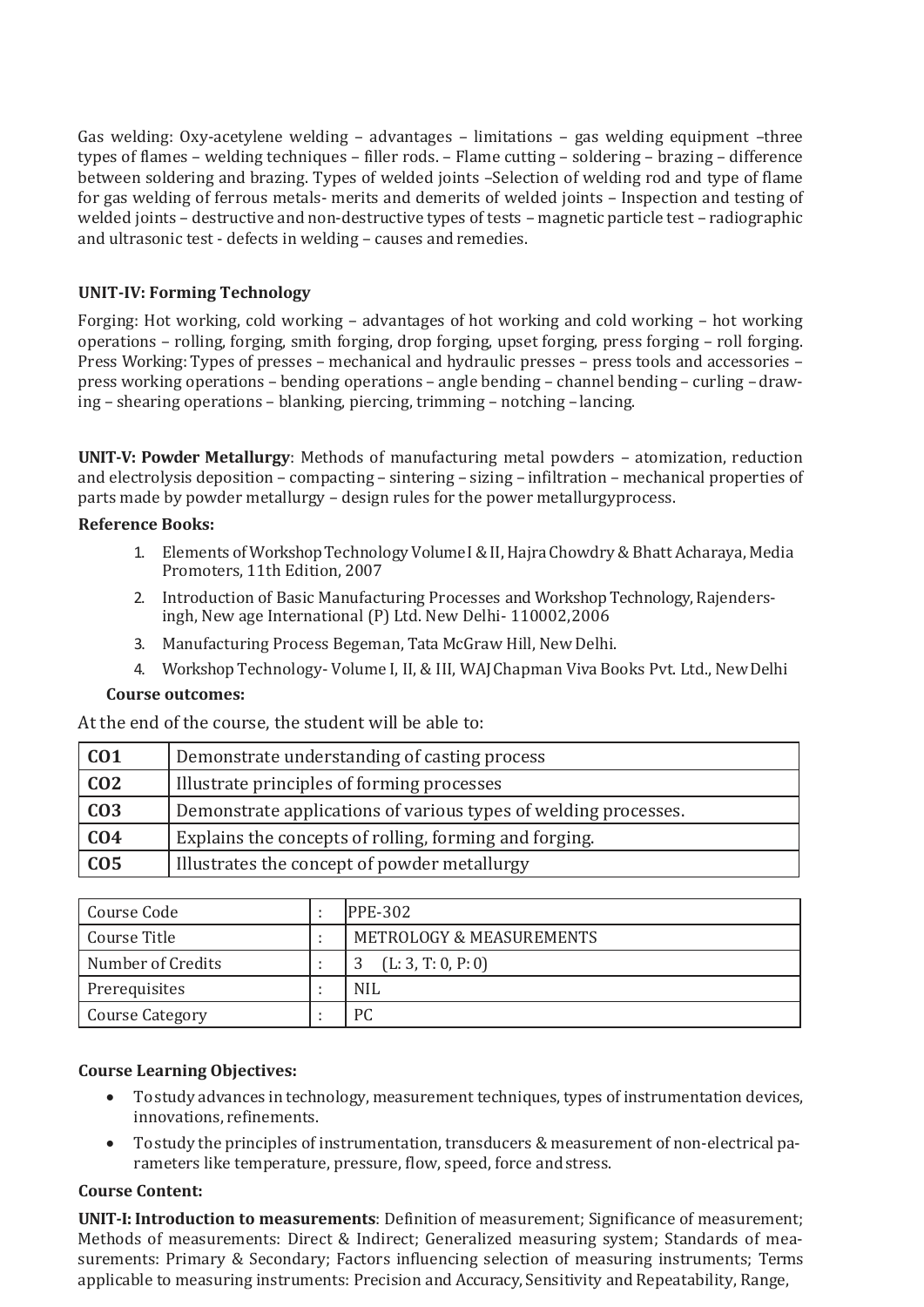Gas welding: Oxy-acetylene welding – advantages – limitations – gas welding equipment –three types of flames – welding techniques – filler rods. – Flame cutting – soldering – brazing – difference between soldering and brazing. Types of welded joints –Selection of welding rod and type of flame for gas welding of ferrous metals- merits and demerits of welded joints – Inspection and testing of welded joints – destructive and non-destructive types of tests – magnetic particle test – radiographic and ultrasonic test - defects in welding – causes andremedies.

#### **UNIT-IV: Forming Technology**

Forging: Hot working, cold working – advantages of hot working and cold working – hot working operations – rolling, forging, smith forging, drop forging, upset forging, press forging – roll forging. Press Working: Types of presses – mechanical and hydraulic presses – press tools and accessories – press working operations – bending operations – angle bending – channel bending – curling – drawing – shearing operations – blanking, piercing, trimming – notching –lancing.

**UNIT-V: Powder Metallurgy**: Methods of manufacturing metal powders – atomization, reduction and electrolysis deposition – compacting – sintering – sizing – infiltration – mechanical properties of parts made by powder metallurgy – design rules for the power metallurgyprocess.

#### **Reference Books:**

- 1. Elements of WorkshopTechnologyVolumeI&II,HajraChowdry&Bhatt Acharaya, Media Promoters, 11th Edition, 2007
- 2. Introduction of Basic Manufacturing Processes and Workshop Technology, Rajendersingh, New age International (P) Ltd. New Delhi- 110002,2006
- 3. Manufacturing Process Begeman, Tata McGraw Hill, New Delhi.
- 4. Workshop Technology- Volume I, II, & III, WAJChapman Viva Books Pvt. Ltd., NewDelhi

#### **Course outcomes:**

At the end of the course, the student will be able to:

| CO1              | Demonstrate understanding of casting process                    |
|------------------|-----------------------------------------------------------------|
| CO <sub>2</sub>  | Illustrate principles of forming processes                      |
| $\overline{CO3}$ | Demonstrate applications of various types of welding processes. |
| CO4              | Explains the concepts of rolling, forming and forging.          |
| CO <sub>5</sub>  | Illustrates the concept of powder metallurgy                    |

| Course Code            | <b>PPE-302</b>                      |
|------------------------|-------------------------------------|
| Course Title           | <b>METROLOGY &amp; MEASUREMENTS</b> |
| Number of Credits      | (L: 3, T: 0, P: 0)                  |
| Prerequisites          | NIL                                 |
| <b>Course Category</b> | РC                                  |

#### **Course Learning Objectives:**

- Tostudy advances in technology, measurement techniques, types of instrumentation devices, innovations, refinements.
- Tostudy the principles of instrumentation, transducers & measurement of non-electrical parameters like temperature, pressure, flow, speed, force andstress.

#### **Course Content:**

**UNIT-I: Introduction to measurements**: Definition of measurement; Significance of measurement; Methods of measurements: Direct & Indirect; Generalized measuring system; Standards of measurements: Primary & Secondary; Factors influencing selection of measuring instruments; Terms applicable to measuring instruments: Precision and Accuracy, Sensitivity and Repeatability, Range,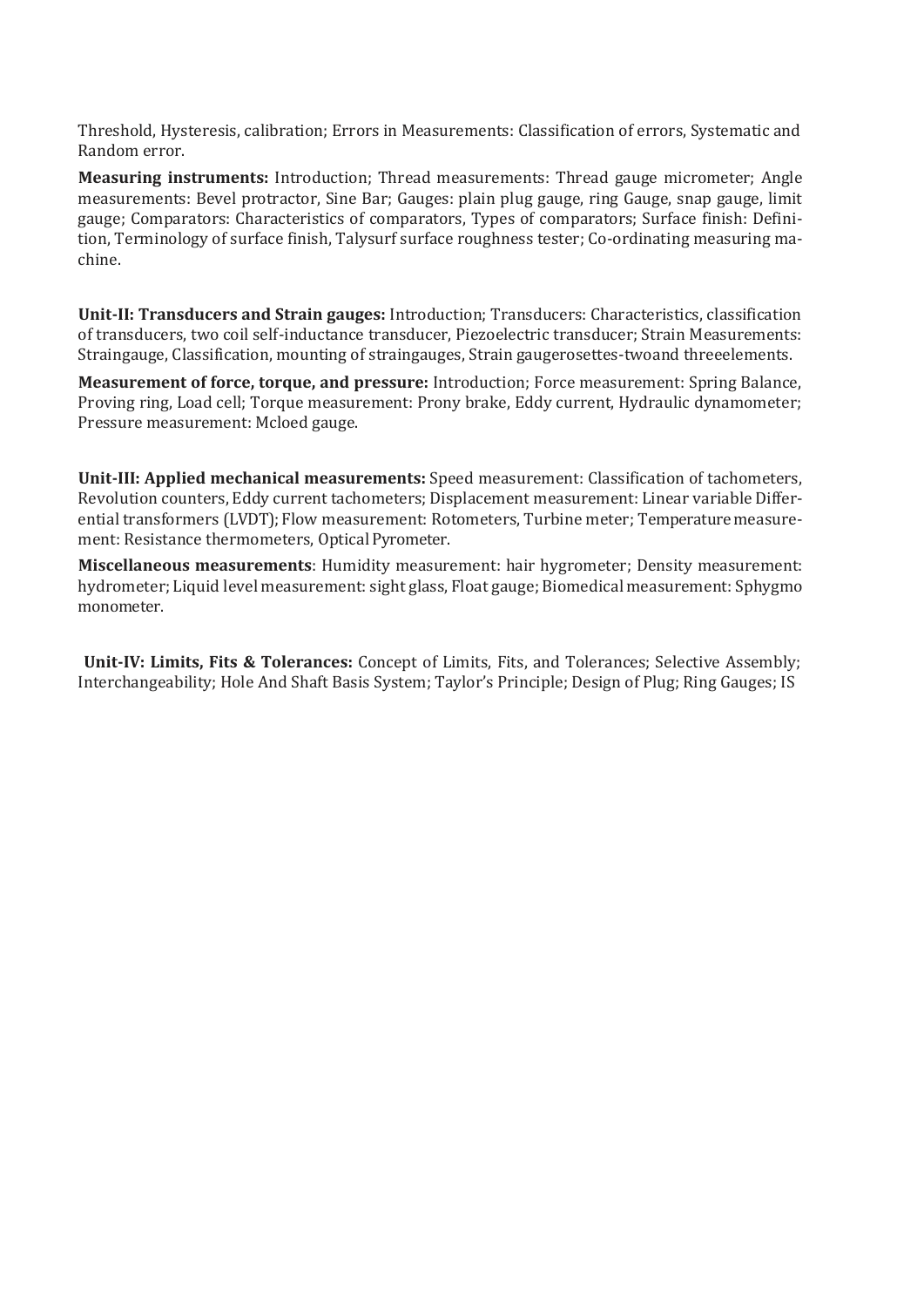Threshold, Hysteresis, calibration; Errors in Measurements: Classification of errors, Systematic and Random error.

**Measuring instruments:** Introduction; Thread measurements: Thread gauge micrometer; Angle measurements: Bevel protractor, Sine Bar; Gauges: plain plug gauge, ring Gauge, snap gauge, limit gauge; Comparators: Characteristics of comparators, Types of comparators; Surface finish: Definition, Terminology of surface finish, Talysurf surface roughness tester; Co-ordinating measuring machine.

**Unit-II: Transducers and Strain gauges:** Introduction; Transducers: Characteristics, classification of transducers, two coil self-inductance transducer, Piezoelectric transducer; Strain Measurements: Straingauge, Classification, mounting of straingauges, Strain gaugerosettes-twoand threeelements.

**Measurement of force, torque, and pressure:** Introduction; Force measurement: Spring Balance, Proving ring, Load cell; Torque measurement: Prony brake, Eddy current, Hydraulic dynamometer; Pressure measurement: Mcloed gauge.

**Unit-III: Applied mechanical measurements:** Speed measurement: Classification of tachometers, Revolution counters, Eddy current tachometers; Displacement measurement: Linear variable Differential transformers (LVDT); Flow measurement: Rotometers, Turbine meter; Temperaturemeasurement: Resistance thermometers, Optical Pyrometer.

**Miscellaneous measurements**: Humidity measurement: hair hygrometer; Density measurement: hydrometer; Liquid level measurement: sight glass, Float gauge; Biomedical measurement: Sphygmo monometer.

**Unit-IV: Limits, Fits & Tolerances:** Concept of Limits, Fits, and Tolerances; Selective Assembly; Interchangeability; Hole And Shaft Basis System; Taylor's Principle; Design of Plug; Ring Gauges; IS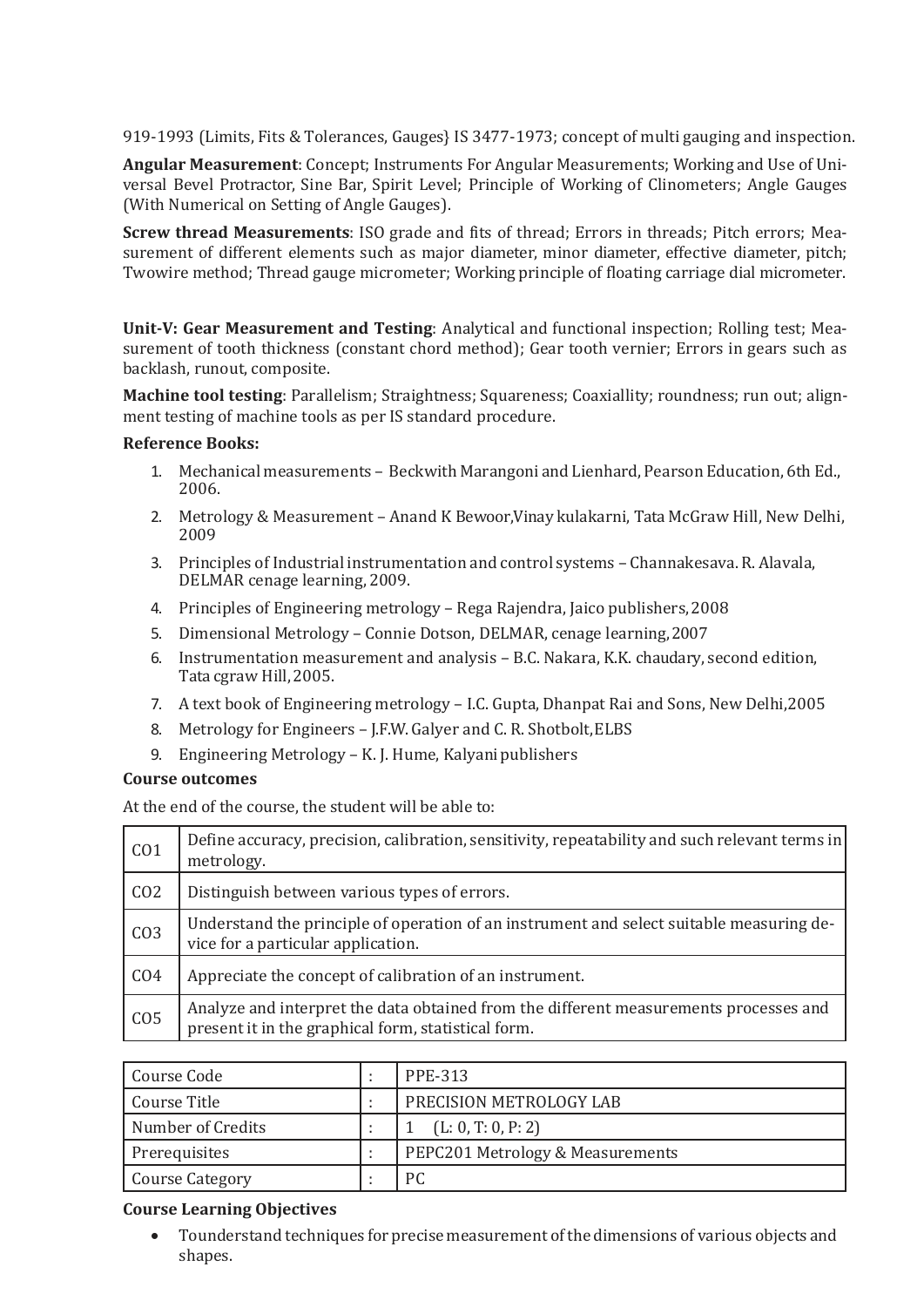919-1993 (Limits, Fits & Tolerances, Gauges} IS 3477-1973; concept of multi gauging and inspection.

**Angular Measurement**: Concept; Instruments For Angular Measurements; Working and Use of Universal Bevel Protractor, Sine Bar, Spirit Level; Principle of Working of Clinometers; Angle Gauges (With Numerical on Setting of Angle Gauges).

**Screw thread Measurements**: ISO grade and fits of thread; Errors in threads; Pitch errors; Measurement of different elements such as major diameter, minor diameter, effective diameter, pitch; Twowire method; Thread gauge micrometer; Working principle of floating carriage dial micrometer.

**Unit-V: Gear Measurement and Testing**: Analytical and functional inspection; Rolling test; Measurement of tooth thickness (constant chord method); Gear tooth vernier; Errors in gears such as backlash, runout, composite.

**Machine tool testing**: Parallelism; Straightness; Squareness; Coaxiallity; roundness; run out; alignment testing of machine tools as per IS standard procedure.

#### **Reference Books:**

- 1. Mechanical measurements Beckwith Marangoni and Lienhard, Pearson Education, 6th Ed., 2006.
- 2. Metrology & Measurement Anand K Bewoor,Vinay kulakarni, Tata McGraw Hill, New Delhi, 2009
- 3. Principles of Industrial instrumentation and control systems Channakesava. R. Alavala, DELMAR cenage learning, 2009.
- 4. Principles of Engineering metrology Rega Rajendra, Jaico publishers,2008
- 5. Dimensional Metrology Connie Dotson, DELMAR, cenage learning,2007
- 6. Instrumentation measurement and analysis B.C. Nakara, K.K. chaudary, second edition, Tata cgraw Hill,2005.
- 7. A text book of Engineering metrology I.C. Gupta, Dhanpat Rai and Sons, New Delhi,2005
- 8. Metrology for Engineers J.F.W. Galyer and C. R. Shotbolt, ELBS
- 9. Engineering Metrology K. J. Hume, Kalyani publishers

#### **Course outcomes**

At the end of the course, the student will be able to:

| CO <sub>1</sub> | Define accuracy, precision, calibration, sensitivity, repeatability and such relevant terms in<br>metrology.                                 |
|-----------------|----------------------------------------------------------------------------------------------------------------------------------------------|
| CO <sub>2</sub> | Distinguish between various types of errors.                                                                                                 |
| CO <sub>3</sub> | Understand the principle of operation of an instrument and select suitable measuring de-<br>vice for a particular application.               |
| CO <sub>4</sub> | Appreciate the concept of calibration of an instrument.                                                                                      |
| CO <sub>5</sub> | Analyze and interpret the data obtained from the different measurements processes and<br>present it in the graphical form, statistical form. |

| Course Code            | <b>PPE-313</b>                   |
|------------------------|----------------------------------|
| Course Title           | PRECISION METROLOGY LAB          |
| Number of Credits      | (L: 0, T: 0, P: 2)               |
| Prerequisites          | PEPC201 Metrology & Measurements |
| <b>Course Category</b> | PC                               |

#### **Course Learning Objectives**

 Tounderstand techniques for precisemeasurement ofthedimensions of various objects and shapes.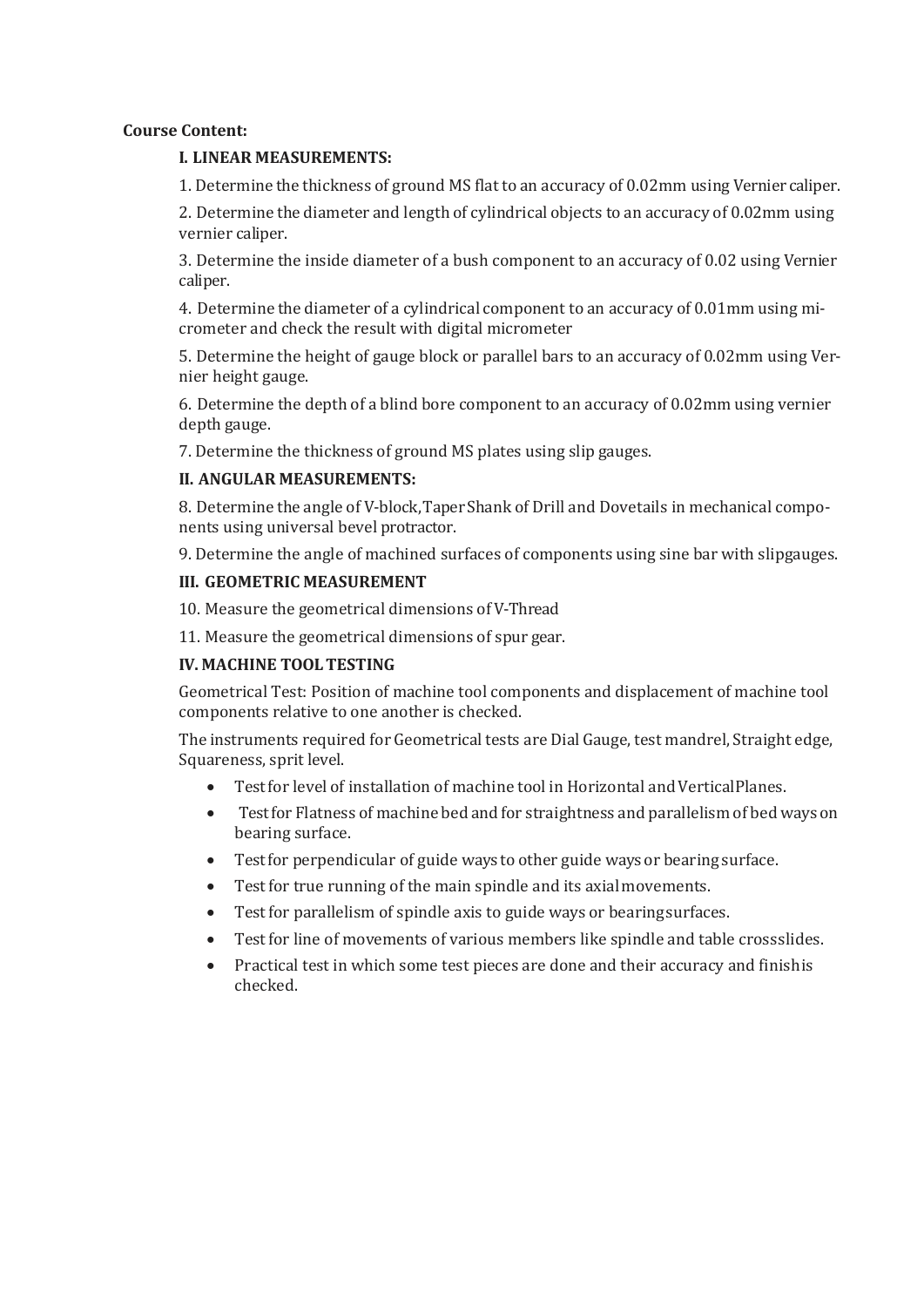#### **Course Content:**

#### **I. LINEAR MEASUREMENTS:**

1. Determine the thickness of ground MS flat to an accuracy of 0.02mm using Vernier caliper.

2. Determine the diameter and length of cylindrical objects to an accuracy of 0.02mm using vernier caliper.

3. Determine the inside diameter of a bush component to an accuracy of 0.02 using Vernier caliper.

4. Determine the diameter of a cylindrical component to an accuracy of 0.01mm using micrometer and check the result with digital micrometer

5. Determine the height of gauge block or parallel bars to an accuracy of 0.02mm using Vernier height gauge.

6. Determine the depth of a blind bore component to an accuracy of 0.02mm using vernier depth gauge.

7. Determine the thickness of ground MS plates using slip gauges.

#### **II. ANGULAR MEASUREMENTS:**

8. Determine the angle of V-block,TaperShank of Drill and Dovetails in mechanical components using universal bevel protractor.

9. Determine the angle of machined surfaces of components using sine bar with slipgauges.

#### **III. GEOMETRIC MEASUREMENT**

10. Measure the geometrical dimensions of V-Thread

11. Measure the geometrical dimensions of spur gear.

#### **IV. MACHINE TOOLTESTING**

Geometrical Test: Position of machine tool components and displacement of machine tool components relative to one another is checked.

The instruments required for Geometrical tests are Dial Gauge, test mandrel, Straight edge, Squareness, sprit level.

- Test for level of installation of machine tool in Horizontal and VerticalPlanes.
- Testfor Flatness of machine bed and for straightness and parallelism of bed ways on bearing surface.
- Testfor perpendicular of guide ways to other guide ways or bearing surface.
- Test for true running of the main spindle and its axialmovements.
- Test for parallelism of spindle axis to guide ways or bearingsurfaces.
- Test for line of movements of various members like spindle and table crossslides.
- Practical test in which some test pieces are done and their accuracy and finishis checked.